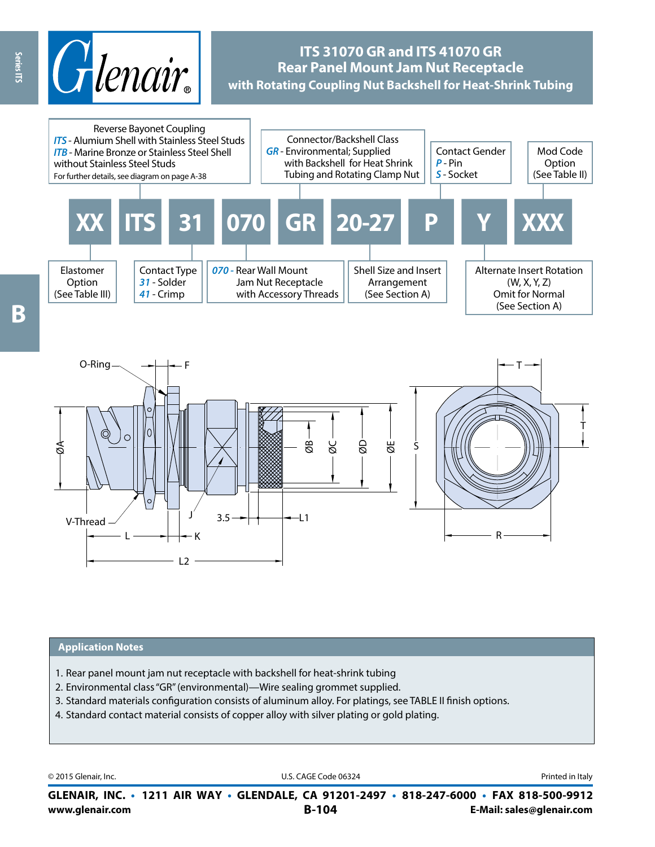

# **ITS 31070 GR and ITS 41070 GR Rear Panel Mount Jam Nut Receptacle with Rotating Coupling Nut Backshell for Heat-Shrink Tubing**



#### **Application Notes**

1. Rear panel mount jam nut receptacle with backshell for heat-shrink tubing

L2

- 2. Environmental class "GR" (environmental)—Wire sealing grommet supplied.
- 3. Standard materials configuration consists of aluminum alloy. For platings, see TABLE II finish options.
- 4. Standard contact material consists of copper alloy with silver plating or gold plating.

© 2015 Glenair, Inc. **Discription Construction Construction Construction Construction Construction Construction Construction Construction Construction Construction Construction Construction Construction Construction Constr** 

**www.glenair.com B-104 E-Mail: sales@glenair.com GLENAIR, INC. • 1211 AIR WAY • GLENDALE, CA 91201-2497 • 818-247-6000 • FAX 818-500-9912**